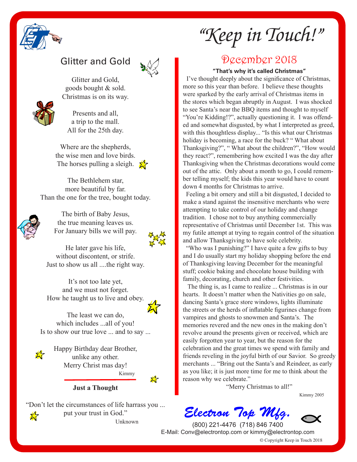

## Glitter and Gold



Glitter and Gold, goods bought & sold. Christmas is on its way.

Presents and all, a trip to the mall. All for the 25th day.

Where are the shepherds, the wise men and love birds. The horses pulling a sleigh.  $\sum_{i=1}^{n}$ 

The Bethlehem star, more beautiful by far. Than the one for the tree, bought today.



The birth of Baby Jesus, the true meaning leaves us. For January bills we will pay.



He later gave his life, without discontent, or strife. Just to show us all ....the right way.

It's not too late yet, and we must not forget. How he taught us to live and obey.



The least we can do, which includes ...all of you! Is to show our true love ... and to say ...



Happy Birthday dear Brother, unlike any other. Merry Christ mas day! Kimmy



**Just a Thought**

"Don't let the circumstances of life harrass you ... put your trust in God."  $\frac{1}{\sqrt{2}}$  put your trust in God."

*"Keep in Touch!"*

## December 2018

**"That's why it's called Christmas"** 

 I've thought deeply about the signifcance of Christmas, more so this year than before. I believe these thoughts were sparked by the early arrival of Christmas items in the stores which began abruptly in August. I was shocked to see Santa's near the BBQ items and thought to myself "You're Kidding!?", actually questioning it. I was offended and somewhat disgusted, by what I interpreted as greed, with this thoughtless display... "Is this what our Christmas holiday is becoming, a race for the buck? " What about Thanksgiving?", " What about the children?", "How would they react?", remembering how excited I was the day after Thanksgiving when the Christmas decorations would come out of the attic. Only about a month to go, I could remember telling myself; the kids this year would have to count down 4 months for Christmas to arrive.

 Feeling a bit ornery and still a bit disgusted, I decided to make a stand against the insensitive merchants who were attempting to take control of our holiday and change tradition. I chose not to buy anything commercially representative of Christmas until December 1st. This was my futile attempt at trying to regain control of the situation and allow Thanksgiving to have sole celebrity.

 "Who was I punishing?" I have quite a few gifts to buy and I do usually start my holiday shopping before the end of Thanksgiving leaving December for the meaningful stuff; cookie baking and chocolate house building with family, decorating, church and other festivities.

 The thing is, as I came to realize ... Christmas is in our hearts. It doesn't matter when the Nativities go on sale, dancing Santa's grace store windows, lights illuminate the streets or the herds of infatable fgurines change from vampires and ghosts to snowmen and Santa's. The memories revered and the new ones in the making don't revolve around the presents given or received, which are easily forgotten year to year, but the reason for the celebration and the great times we spend with family and friends reveling in the joyful birth of our Savior. So greedy merchants ... "Bring out the Santa's and Reindeer, as early as you like; it is just more time for me to think about the reason why we celebrate."

"Merry Christmas to all!"

Kimmy 2005

*Electron Top Mfg.*



© Copyright Keep in Touch 2018 (800) 221-4476 (718) 846 7400 E-Mail: Conv@electrontop.com or kimmy@electrontop.com